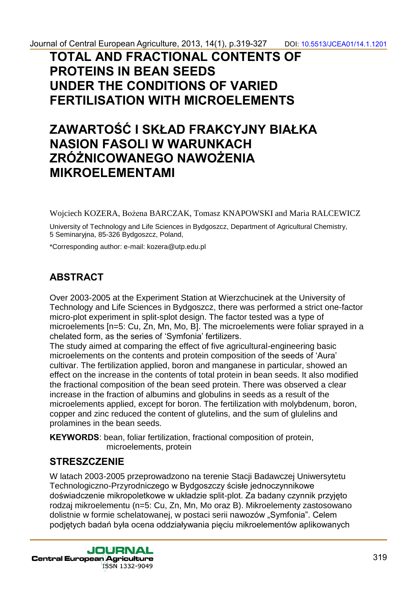## **TOTAL AND FRACTIONAL CONTENTS OF PROTEINS IN BEAN SEEDS UNDER THE CONDITIONS OF VARIED FERTILISATION WITH MICROELEMENTS**

# **ZAWARTOŚĆ I SKŁAD FRAKCYJNY BIAŁKA NASION FASOLI W WARUNKACH ZRÓŻNICOWANEGO NAWOŻENIA MIKROELEMENTAMI**

Wojciech KOZERA, Bożena BARCZAK, Tomasz KNAPOWSKI and Maria RALCEWICZ

University of Technology and Life Sciences in Bydgoszcz, Department of Agricultural Chemistry, 5 Seminaryjna, 85-326 Bydgoszcz, Poland,

\*Corresponding author: e-mail: kozera@utp.edu.pl

### **ABSTRACT**

Over 2003-2005 at the Experiment Station at Wierzchucinek at the University of Technology and Life Sciences in Bydgoszcz, there was performed a strict one-factor micro-plot experiment in split-splot design. The factor tested was a type of microelements [n=5: Cu, Zn, Mn, Mo, B]. The microelements were foliar sprayed in a chelated form, as the series of 'Symfonia' fertilizers.

The study aimed at comparing the effect of five agricultural-engineering basic microelements on the contents and protein composition of the seeds of 'Aura' cultivar. The fertilization applied, boron and manganese in particular, showed an effect on the increase in the contents of total protein in bean seeds. It also modified the fractional composition of the bean seed protein. There was observed a clear increase in the fraction of albumins and globulins in seeds as a result of the microelements applied, except for boron. The fertilization with molybdenum, boron, copper and zinc reduced the content of glutelins, and the sum of glulelins and prolamines in the bean seeds.

**KEYWORDS**: bean, foliar fertilization, fractional composition of protein, microelements, protein

#### **STRESZCZENIE**

W latach 2003-2005 przeprowadzono na terenie Stacji Badawczej Uniwersytetu Technologiczno-Przyrodniczego w Bydgoszczy ścisłe jednoczynnikowe doświadczenie mikropoletkowe w układzie split-plot. Za badany czynnik przyjęto rodzaj mikroelementu (n=5: Cu, Zn, Mn, Mo oraz B). Mikroelementy zastosowano dolistnie w formie schelatowanej, w postaci serii nawozów "Symfonia". Celem podjętych badań była ocena oddziaływania pięciu mikroelementów aplikowanych

**JOURNAL Central European Agriculture** ISSN 1332-9049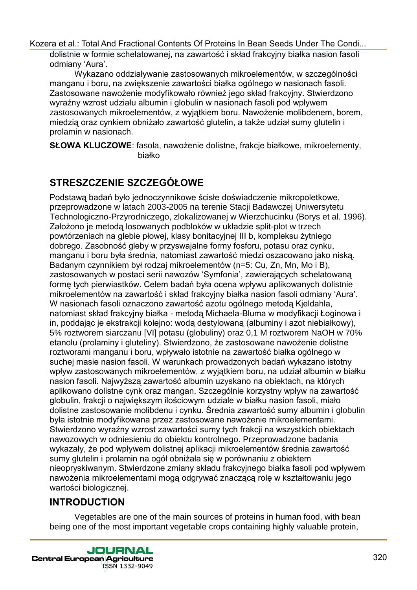dolistnie w formie schelatowanej, na zawartość i skład frakcyjny białka nasion fasoli odmiany 'Aura'.

Wykazano oddziaływanie zastosowanych mikroelementów, w szczególności manganu i boru, na zwiększenie zawartości białka ogólnego w nasionach fasoli. Zastosowane nawożenie modyfikowało również jego skład frakcyjny. Stwierdzono wyraźny wzrost udziału albumin i globulin w nasionach fasoli pod wpływem zastosowanych mikroelementów, z wyjątkiem boru. Nawożenie molibdenem, borem, miedzią oraz cynkiem obniżało zawartość glutelin, a także udział sumy glutelin i prolamin w nasionach.

**SŁOWA KLUCZOWE**: fasola, nawożenie dolistne, frakcje białkowe, mikroelementy, białko

## **STRESZCZENIE SZCZEGÓŁOWE**

Podstawą badań było jednoczynnikowe ścisłe doświadczenie mikropoletkowe, przeprowadzone w latach 2003-2005 na terenie Stacji Badawczej Uniwersytetu Technologiczno-Przyrodniczego, zlokalizowanej w Wierzchucinku (Borys et al. 1996). Założono je metodą losowanych podbloków w układzie split-plot w trzech powtórzeniach na glebie płowej, klasy bonitacyjnej III b, kompleksu żytniego dobrego. Zasobność gleby w przyswajalne formy fosforu, potasu oraz cynku, manganu i boru była średnia, natomiast zawartość miedzi oszacowano jako niską. Badanym czynnikiem był rodzaj mikroelementów (n=5: Cu, Zn, Mn, Mo i B), zastosowanych w postaci serii nawozów 'Symfonia', zawierających schelatowaną formę tych pierwiastków. Celem badań była ocena wpływu aplikowanych dolistnie mikroelementów na zawartość i skład frakcyjny białka nasion fasoli odmiany 'Aura'. W nasionach fasoli oznaczono zawartość azotu ogólnego metodą Kjeldahla, natomiast skład frakcyjny białka - metodą Michaela-Bluma w modyfikacji Łoginowa i in, poddając je ekstrakcji kolejno: wodą destylowaną (albuminy i azot niebiałkowy), 5% roztworem siarczanu [VI] potasu (globuliny) oraz 0,1 M roztworem NaOH w 70% etanolu (prolaminy i gluteliny). Stwierdzono, że zastosowane nawożenie dolistne roztworami manganu i boru, wpływało istotnie na zawartość białka ogólnego w suchej masie nasion fasoli. W warunkach prowadzonych badań wykazano istotny wpływ zastosowanych mikroelementów, z wyjątkiem boru, na udział albumin w białku nasion fasoli. Najwyższą zawartość albumin uzyskano na obiektach, na których aplikowano dolistne cynk oraz mangan. Szczególnie korzystny wpływ na zawartość globulin, frakcji o największym ilościowym udziale w białku nasion fasoli, miało dolistne zastosowanie molibdenu i cynku. Średnia zawartość sumy albumin i globulin była istotnie modyfikowana przez zastosowane nawożenie mikroelementami. Stwierdzono wyraźny wzrost zawartości sumy tych frakcji na wszystkich obiektach nawozowych w odniesieniu do obiektu kontrolnego. Przeprowadzone badania wykazały, że pod wpływem dolistnej aplikacji mikroelementów średnia zawartość sumy glutelin i prolamin na ogół obniżała się w porównaniu z obiektem nieopryskiwanym. Stwierdzone zmiany składu frakcyjnego białka fasoli pod wpływem nawożenia mikroelementami mogą odgrywać znaczącą rolę w kształtowaniu jego wartości biologicznej.

### **INTRODUCTION**

Vegetables are one of the main sources of proteins in human food, with bean being one of the most important vegetable crops containing highly valuable protein,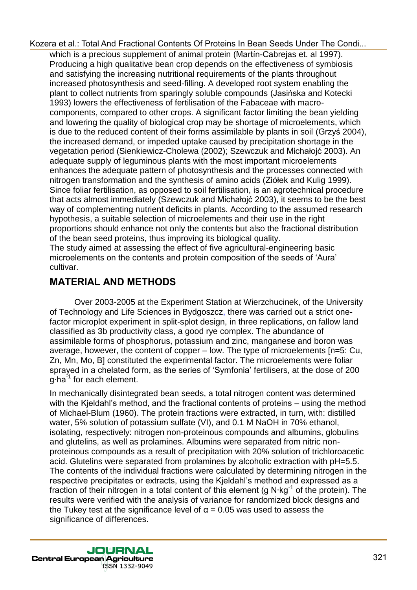which is a precious supplement of animal protein (Martín-Cabrejas et. al 1997). Producing a high qualitative bean crop depends on the effectiveness of symbiosis and satisfying the increasing nutritional requirements of the plants throughout increased photosynthesis and seed-filling. A developed root system enabling the plant to collect nutrients from sparingly soluble compounds (Jasińska and Kotecki 1993) lowers the effectiveness of fertilisation of the Fabaceae with macrocomponents, compared to other crops. A significant factor limiting the bean yielding and lowering the quality of biological crop may be shortage of microelements, which is due to the reduced content of their forms assimilable by plants in soil (Grzyś 2004), the increased demand, or impeded uptake caused by precipitation shortage in the vegetation period (Sienkiewicz-Cholewa (2002); Szewczuk and Michałojć 2003). An adequate supply of leguminous plants with the most important microelements enhances the adequate pattern of photosynthesis and the processes connected with nitrogen transformation and the synthesis of amino acids (Ziółek and Kulig 1999). Since foliar fertilisation, as opposed to soil fertilisation, is an agrotechnical procedure that acts almost immediately (Szewczuk and Michałojć 2003), it seems to be the best way of complementing nutrient deficits in plants. According to the assumed research hypothesis, a suitable selection of microelements and their use in the right proportions should enhance not only the contents but also the fractional distribution of the bean seed proteins, thus improving its biological quality. The study aimed at assessing the effect of five agricultural-engineering basic microelements on the contents and protein composition of the seeds of 'Aura' cultivar.

### **MATERIAL AND METHODS**

Over 2003-2005 at the Experiment Station at Wierzchucinek, of the University of Technology and Life Sciences in Bydgoszcz, there was carried out a strict onefactor microplot experiment in split-splot design, in three replications, on fallow land classified as 3b productivity class, a good rye complex. The abundance of assimilable forms of phosphorus, potassium and zinc, manganese and boron was average, however, the content of copper – low. The type of microelements [n=5: Cu, Zn, Mn, Mo, B] constituted the experimental factor. The microelements were foliar sprayed in a chelated form, as the series of 'Symfonia' fertilisers, at the dose of 200  $q$ ·ha<sup>-1</sup> for each element.

In mechanically disintegrated bean seeds, a total nitrogen content was determined with the Kjeldahl's method, and the fractional contents of proteins – using the method of Michael-Blum (1960). The protein fractions were extracted, in turn, with: distilled water, 5% solution of potassium sulfate (VI), and 0.1 M NaOH in 70% ethanol, isolating, respectively: nitrogen non-proteinous compounds and albumins, globulins and glutelins, as well as prolamines. Albumins were separated from nitric nonproteinous compounds as a result of precipitation with 20% solution of trichloroacetic acid. Glutelins were separated from prolamines by alcoholic extraction with pH=5.5. The contents of the individual fractions were calculated by determining nitrogen in the respective precipitates or extracts, using the Kjeldahl's method and expressed as a fraction of their nitrogen in a total content of this element (g  $N \cdot kg^{-1}$  of the protein). The results were verified with the analysis of variance for randomized block designs and the Tukey test at the significance level of  $\alpha$  = 0.05 was used to assess the significance of differences.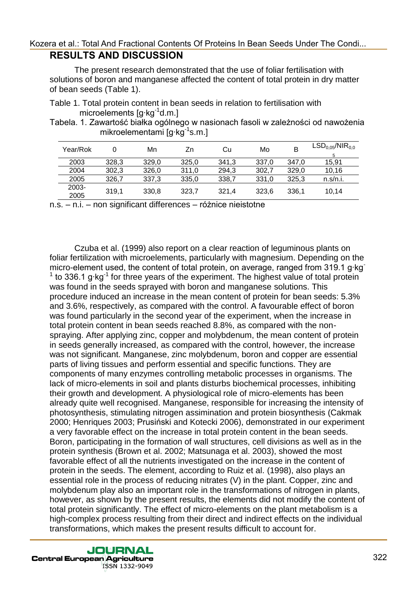#### **RESULTS AND DISCUSSION**  [Kozera et al.: Total And Fractional Contents Of Proteins In Bean Seeds Under The Condi...](http://jcea.agr.hr/volumes.php?search=Article%3A1201)

The present research demonstrated that the use of foliar fertilisation with solutions of boron and manganese affected the content of total protein in dry matter of bean seeds (Table 1).

Table 1. Total protein content in bean seeds in relation to fertilisation with microelements  $[q kq^{-1}d.m.]$ 

Tabela. 1. Zawartość białka ogólnego w nasionach fasoli w zależności od nawożenia mikroelementami  $[g \, kg^{-1} s.m.]$ 

| Year/Rok      |       | Mn    | Zn    | Cu    | Mo    |       | $LSD_{0.05}/NIR_{0.0}$ |
|---------------|-------|-------|-------|-------|-------|-------|------------------------|
| 2003          | 328.3 | 329.0 | 325.0 | 341.3 | 337.0 | 347.0 | 15.91                  |
| 2004          | 302.3 | 326.0 | 311.0 | 294.3 | 302.7 | 329.0 | 10.16                  |
| 2005          | 326.7 | 337.3 | 335.0 | 338.7 | 331.0 | 325.3 | n.s/n.i.               |
| 2003-<br>2005 | 319,1 | 330.8 | 323,7 | 321.4 | 323.6 | 336.1 | 10.14                  |

n.s. – n.i. – non significant differences – różnice nieistotne

Czuba et al. (1999) also report on a clear reaction of leguminous plants on foliar fertilization with microelements, particularly with magnesium. Depending on the micro-element used, the content of total protein, on average, ranged from 319.1 g·kg  $1$  to 336.1 g·kg $1$  for three years of the experiment. The highest value of total protein was found in the seeds sprayed with boron and manganese solutions. This procedure induced an increase in the mean content of protein for bean seeds: 5.3% and 3.6%, respectively, as compared with the control. A favourable effect of boron was found particularly in the second year of the experiment, when the increase in total protein content in bean seeds reached 8.8%, as compared with the nonspraying. After applying zinc, copper and molybdenum, the mean content of protein in seeds generally increased, as compared with the control, however, the increase was not significant. Manganese, zinc molybdenum, boron and copper are essential parts of living tissues and perform essential and specific functions. They are components of many enzymes controlling metabolic processes in organisms. The lack of micro-elements in soil and plants disturbs biochemical processes, inhibiting their growth and development. A physiological role of micro-elements has been already quite well recognised. Manganese, responsible for increasing the intensity of photosynthesis, stimulating nitrogen assimination and protein biosynthesis (Cakmak 2000; Henriques 2003; Prusiński and Kotecki 2006), demonstrated in our experiment a very favorable effect on the increase in total protein content in the bean seeds. Boron, participating in the formation of wall structures, cell divisions as well as in the protein synthesis (Brown et al. 2002; Matsunaga et al. 2003), showed the most favorable effect of all the nutrients investigated on the increase in the content of protein in the seeds. The element, according to Ruiz et al. (1998), also plays an essential role in the process of reducing nitrates (V) in the plant. Copper, zinc and molybdenum play also an important role in the transformations of nitrogen in plants, however, as shown by the present results, the elements did not modify the content of total protein significantly. The effect of micro-elements on the plant metabolism is a high-complex process resulting from their direct and indirect effects on the individual transformations, which makes the present results difficult to account for.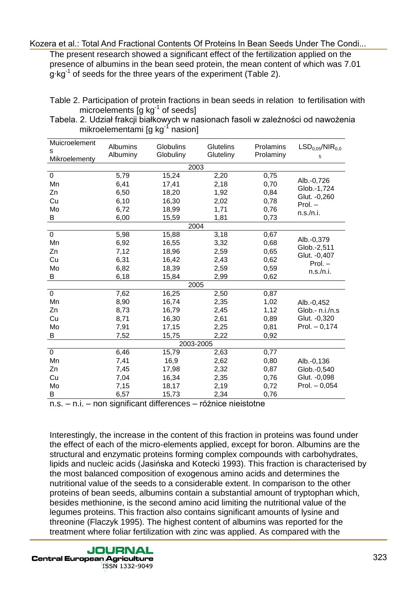The present research showed a significant effect of the fertilization applied on the presence of albumins in the bean seed protein, the mean content of which was 7.01  $q$ ·kg<sup>-1</sup> of seeds for the three years of the experiment (Table 2).

Tabela. 2. Udział frakcji białkowych w nasionach fasoli w zależności od nawożenia mikroelementami  $\lceil q \rceil$  nasion]

| Muicroelement<br>s | Albumins<br>Albuminy | <b>Globulins</b><br>Globuliny | Glutelins<br>Gluteliny | Prolamins<br>Prolaminy | LSD <sub>0.05</sub> /NIR <sub>0.0</sub> |  |  |
|--------------------|----------------------|-------------------------------|------------------------|------------------------|-----------------------------------------|--|--|
| Mikroelementy      |                      |                               |                        |                        | 5                                       |  |  |
| 2003               |                      |                               |                        |                        |                                         |  |  |
| $\pmb{0}$          | 5,79                 | 15,24                         | 2,20                   | 0,75                   | Alb.-0,726                              |  |  |
| Mn                 | 6,41                 | 17,41                         | 2,18                   | 0,70                   | Glob.-1,724                             |  |  |
| Zn                 | 6,50                 | 18,20                         | 1,92                   | 0,84                   | Glut. - 0,260                           |  |  |
| Cu                 | 6,10                 | 16,30                         | 2,02                   | 0,78                   | $Prol. -$                               |  |  |
| Mo                 | 6,72                 | 18,99                         | 1,71                   | 0,76                   | n.s./n.i.                               |  |  |
| В                  | 6,00                 | 15,59                         | 1,81                   | 0,73                   |                                         |  |  |
|                    |                      | 2004                          |                        |                        |                                         |  |  |
| $\mathbf 0$        | 5,98                 | 15,88                         | 3,18                   | 0,67                   |                                         |  |  |
| Mn                 | 6,92                 | 16,55                         | 3,32                   | 0,68                   | Alb.-0,379<br>Glob.-2,511               |  |  |
| Zn                 | 7,12                 | 18,96                         | 2,59                   | 0,65                   | Glut. - 0,407                           |  |  |
| Cu                 | 6,31                 | 16,42                         | 2,43                   | 0,62                   | Prol. –                                 |  |  |
| Mo                 | 6,82                 | 18,39                         | 2,59                   | 0,59                   | n.s./n.i.                               |  |  |
| В                  | 6,18                 | 15,84                         | 2,99                   | 0,62                   |                                         |  |  |
| 2005               |                      |                               |                        |                        |                                         |  |  |
| $\mathbf 0$        | 7,62                 | 16,25                         | 2,50                   | 0,87                   |                                         |  |  |
| Mn                 | 8,90                 | 16,74                         | 2,35                   | 1,02                   | Alb.-0,452                              |  |  |
| Zn                 | 8,73                 | 16,79                         | 2,45                   | 1,12                   | Glob.- n.i./n.s                         |  |  |
| Cu                 | 8,71                 | 16,30                         | 2,61                   | 0,89                   | Glut. - 0,320                           |  |  |
| Mo                 | 7,91                 | 17,15                         | 2,25                   | 0,81                   | Prol. $- 0,174$                         |  |  |
| B                  | 7,52                 | 15,75                         | 2,22                   | 0,92                   |                                         |  |  |
| 2003-2005          |                      |                               |                        |                        |                                         |  |  |
| $\mathbf 0$        | 6,46                 | 15,79                         | 2,63                   | 0,77                   |                                         |  |  |
| Mn                 | 7,41                 | 16,9                          | 2,62                   | 0,80                   | Alb.-0,136                              |  |  |
| Zn                 | 7,45                 | 17,98                         | 2,32                   | 0,87                   | Glob.-0,540                             |  |  |
| Cu                 | 7,04                 | 16,34                         | 2,35                   | 0,76                   | Glut. - 0,098                           |  |  |
| Mo                 | 7,15                 | 18,17                         | 2,19                   | 0,72                   | Prol. $-0.054$                          |  |  |
| В                  | 6,57                 | 15,73                         | 2,34                   | 0,76                   |                                         |  |  |

n.s. – n.i. – non significant differences – różnice nieistotne

Interestingly, the increase in the content of this fraction in proteins was found under the effect of each of the micro-elements applied, except for boron. Albumins are the structural and enzymatic proteins forming complex compounds with carbohydrates, lipids and nucleic acids (Jasińska and Kotecki 1993). This fraction is characterised by the most balanced composition of exogenous amino acids and determines the nutritional value of the seeds to a considerable extent. In comparison to the other proteins of bean seeds, albumins contain a substantial amount of tryptophan which, besides methionine, is the second amino acid limiting the nutritional value of the legumes proteins. This fraction also contains significant amounts of lysine and threonine (Flaczyk 1995). The highest content of albumins was reported for the treatment where foliar fertilization with zinc was applied. As compared with the

JOURNAL **Central European Agriculture** ISSN 1332-9049

Table 2. Participation of protein fractions in bean seeds in relation to fertilisation with microelements  $[g \, kg^{-1}]$  of seeds]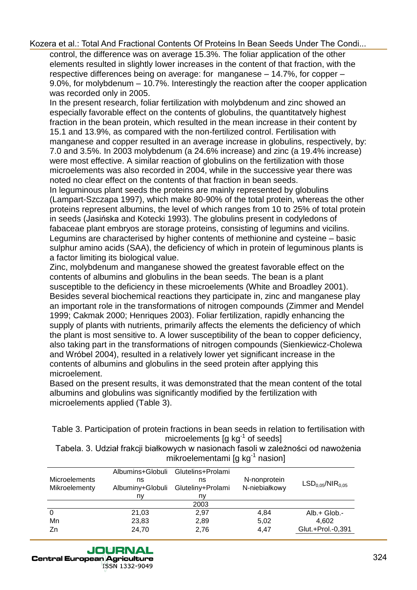control, the difference was on average 15.3%. The foliar application of the other elements resulted in slightly lower increases in the content of that fraction, with the respective differences being on average: for manganese – 14.7%, for copper – 9.0%, for molybdenum – 10.7%. Interestingly the reaction after the cooper application was recorded only in 2005.

In the present research, foliar fertilization with molybdenum and zinc showed an especially favorable effect on the contents of globulins, the quantitatvely highest fraction in the bean protein, which resulted in the mean increase in their content by 15.1 and 13.9%, as compared with the non-fertilized control. Fertilisation with manganese and copper resulted in an average increase in globulins, respectively, by: 7.0 and 3.5%. In 2003 molybdenum (a 24.6% increase) and zinc (a 19.4% increase) were most effective. A similar reaction of globulins on the fertilization with those microelements was also recorded in 2004, while in the successive year there was noted no clear effect on the contents of that fraction in bean seeds.

In leguminous plant seeds the proteins are mainly represented by globulins (Lampart-Szczapa 1997), which make 80-90% of the total protein, whereas the other proteins represent albumins, the level of which ranges from 10 to 25% of total protein in seeds (Jasińska and Kotecki 1993). The globulins present in codyledons of fabaceae plant embryos are storage proteins, consisting of legumins and vicilins. Legumins are characterised by higher contents of methionine and cysteine – basic sulphur amino acids (SAA), the deficiency of which in protein of leguminous plants is a factor limiting its biological value.

Zinc, molybdenum and manganese showed the greatest favorable effect on the contents of albumins and globulins in the bean seeds. The bean is a plant susceptible to the deficiency in these microelements (White and Broadley 2001). Besides several biochemical reactions they participate in, zinc and manganese play an important role in the transformations of nitrogen compounds (Zimmer and Mendel 1999; Cakmak 2000; Henriques 2003). Foliar fertilization, rapidly enhancing the supply of plants with nutrients, primarily affects the elements the deficiency of which the plant is most sensitive to. A lower susceptibility of the bean to copper deficiency, also taking part in the transformations of nitrogen compounds (Sienkiewicz-Cholewa and Wróbel 2004), resulted in a relatively lower yet significant increase in the contents of albumins and globulins in the seed protein after applying this microelement.

Based on the present results, it was demonstrated that the mean content of the total albumins and globulins was significantly modified by the fertilization with microelements applied (Table 3).

Table 3. Participation of protein fractions in bean seeds in relation to fertilisation with microelements  $[g \, kg^{-1}]$  of seeds]

Tabela. 3. Udział frakcji białkowych w nasionach fasoli w zależności od nawożenia mikroelementami [g kg<sup>-1</sup> nasion]

| Albumins+Globuli<br>ns<br>Albuminy+Globuli | ns<br>Gluteliny+Prolami | N-nonprotein<br>N-niebiałkowy | LSD <sub>0.05</sub> /NIR <sub>0.05</sub> |
|--------------------------------------------|-------------------------|-------------------------------|------------------------------------------|
| ny                                         | nv                      |                               |                                          |
|                                            | 2003                    |                               |                                          |
| 21,03                                      | 2,97                    | 4.84                          | Alb.+ Glob.-                             |
| 23,83                                      | 2,89                    | 5.02                          | 4.602                                    |
| 24,70                                      | 2,76                    | 4.47                          | Glut.+Prol.-0,391                        |
|                                            |                         | Glutelins+Prolami             |                                          |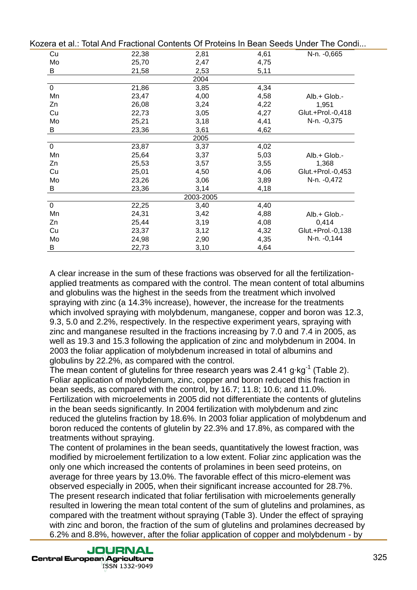|             |       |           |      | izura ul'alli Tulai Allu i Taulunai Obhluno Off Tululio III Duan occus Onuci Thu Obhu |
|-------------|-------|-----------|------|---------------------------------------------------------------------------------------|
| Cu          | 22,38 | 2,81      | 4,61 | N-n. -0,665                                                                           |
| Mo          | 25,70 | 2,47      | 4,75 |                                                                                       |
| B           | 21,58 | 2,53      | 5,11 |                                                                                       |
|             |       | 2004      |      |                                                                                       |
| 0           | 21,86 | 3,85      | 4,34 |                                                                                       |
| Mn          | 23,47 | 4,00      | 4,58 | Alb.+ Glob.-                                                                          |
| Zn          | 26,08 | 3,24      | 4,22 | 1,951                                                                                 |
| Cu          | 22,73 | 3,05      | 4,27 | Glut.+Prol.-0,418                                                                     |
| Mo          | 25,21 | 3,18      | 4,41 | N-n. -0,375                                                                           |
| В           | 23,36 | 3,61      | 4,62 |                                                                                       |
|             |       | 2005      |      |                                                                                       |
| $\mathbf 0$ | 23,87 | 3,37      | 4,02 |                                                                                       |
| Mn          | 25,64 | 3,37      | 5,03 | Alb.+ Glob.-                                                                          |
| Zn          | 25,53 | 3,57      | 3,55 | 1,368                                                                                 |
| Cu          | 25,01 | 4,50      | 4,06 | Glut.+Prol.-0,453                                                                     |
| Mo          | 23,26 | 3,06      | 3,89 | N-n. -0,472                                                                           |
| B           | 23,36 | 3,14      | 4,18 |                                                                                       |
|             |       | 2003-2005 |      |                                                                                       |
| $\mathbf 0$ | 22,25 | 3,40      | 4,40 |                                                                                       |
| Mn          | 24,31 | 3,42      | 4,88 | Alb.+ Glob.-                                                                          |
| Zn          | 25,44 | 3,19      | 4,08 | 0,414                                                                                 |
| Cu          | 23,37 | 3,12      | 4,32 | Glut.+Prol.-0,138                                                                     |
| Mo          | 24,98 | 2,90      | 4,35 | N-n. -0,144                                                                           |
| B           | 22,73 | 3,10      | 4,64 |                                                                                       |
|             |       |           |      |                                                                                       |

A clear increase in the sum of these fractions was observed for all the fertilizationapplied treatments as compared with the control. The mean content of total albumins and globulins was the highest in the seeds from the treatment which involved spraying with zinc (a 14.3% increase), however, the increase for the treatments which involved spraying with molybdenum, manganese, copper and boron was 12.3, 9.3, 5.0 and 2.2%, respectively. In the respective experiment years, spraying with zinc and manganese resulted in the fractions increasing by 7.0 and 7.4 in 2005, as well as 19.3 and 15.3 following the application of zinc and molybdenum in 2004. In 2003 the foliar application of molybdenum increased in total of albumins and globulins by 22.2%, as compared with the control.

The mean content of glutelins for three research years was 2.41 g·kg<sup>-1</sup> (Table 2). Foliar application of molybdenum, zinc, copper and boron reduced this fraction in bean seeds, as compared with the control, by 16.7; 11.8; 10.6; and 11.0%. Fertilization with microelements in 2005 did not differentiate the contents of glutelins in the bean seeds significantly. In 2004 fertilization with molybdenum and zinc reduced the glutelins fraction by 18.6%. In 2003 foliar application of molybdenum and boron reduced the contents of glutelin by 22.3% and 17.8%, as compared with the treatments without spraying.

The content of prolamines in the bean seeds, quantitatively the lowest fraction, was modified by microelement fertilization to a low extent. Foliar zinc application was the only one which increased the contents of prolamines in been seed proteins, on average for three years by 13.0%. The favorable effect of this micro-element was observed especially in 2005, when their significant increase accounted for 28.7%. The present research indicated that foliar fertilisation with microelements generally resulted in lowering the mean total content of the sum of glutelins and prolamines, as compared with the treatment without spraying (Table 3). Under the effect of spraying with zinc and boron, the fraction of the sum of glutelins and prolamines decreased by 6.2% and 8.8%, however, after the foliar application of copper and molybdenum - by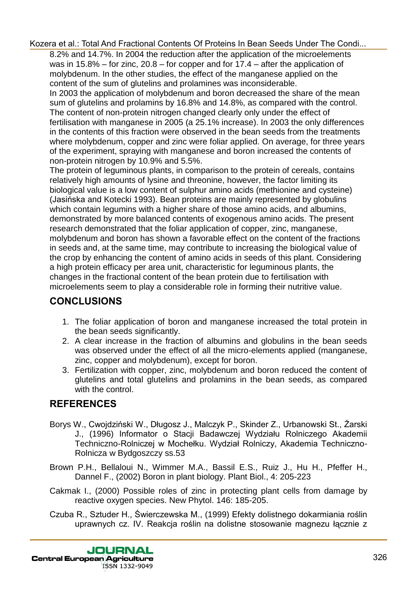8.2% and 14.7%. In 2004 the reduction after the application of the microelements was in 15.8% – for zinc, 20.8 – for copper and for 17.4 – after the application of molybdenum. In the other studies, the effect of the manganese applied on the content of the sum of glutelins and prolamines was inconsiderable. In 2003 the application of molybdenum and boron decreased the share of the mean sum of glutelins and prolamins by 16.8% and 14.8%, as compared with the control. The content of non-protein nitrogen changed clearly only under the effect of fertilisation with manganese in 2005 (a 25.1% increase). In 2003 the only differences in the contents of this fraction were observed in the bean seeds from the treatments where molybdenum, copper and zinc were foliar applied. On average, for three years of the experiment, spraying with manganese and boron increased the contents of non-protein nitrogen by 10.9% and 5.5%.

The protein of leguminous plants, in comparison to the protein of cereals, contains relatively high amounts of lysine and threonine, however, the factor limiting its biological value is a low content of sulphur amino acids (methionine and cysteine) (Jasińska and Kotecki 1993). Bean proteins are mainly represented by globulins which contain legumins with a higher share of those amino acids, and albumins, demonstrated by more balanced contents of exogenous amino acids. The present research demonstrated that the foliar application of copper, zinc, manganese, molybdenum and boron has shown a favorable effect on the content of the fractions in seeds and, at the same time, may contribute to increasing the biological value of the crop by enhancing the content of amino acids in seeds of this plant. Considering a high protein efficacy per area unit, characteristic for leguminous plants, the changes in the fractional content of the bean protein due to fertilisation with microelements seem to play a considerable role in forming their nutritive value.

### **CONCLUSIONS**

- 1. The foliar application of boron and manganese increased the total protein in the bean seeds significantly.
- 2. A clear increase in the fraction of albumins and globulins in the bean seeds was observed under the effect of all the micro-elements applied (manganese, zinc, copper and molybdenum), except for boron.
- 3. Fertilization with copper, zinc, molybdenum and boron reduced the content of glutelins and total glutelins and prolamins in the bean seeds, as compared with the control.

## **REFERENCES**

- Borys W., Cwojdziński W., Długosz J., Malczyk P., Skinder Z., Urbanowski St., Żarski J., (1996) Informator o Stacji Badawczej Wydziału Rolniczego Akademii Techniczno-Rolniczej w Mochełku. Wydział Rolniczy, Akademia Techniczno-Rolnicza w Bydgoszczy ss.53
- Brown P.H., Bellaloui N., Wimmer M.A., Bassil E.S., Ruiz J., Hu H., Pfeffer H., Dannel F., (2002) Boron in plant biology. Plant Biol., 4: 205-223
- Cakmak I., (2000) Possible roles of zinc in protecting plant cells from damage by reactive oxygen species. New Phytol. 146: 185-205.
- Czuba R., Sztuder H., Świerczewska M., (1999) Efekty dolistnego dokarmiania roślin uprawnych cz. IV. Reakcja roślin na dolistne stosowanie magnezu łącznie z